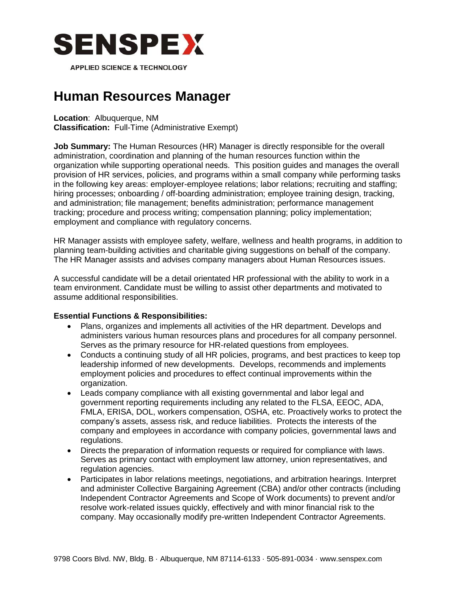

# **Human Resources Manager**

**Location**: Albuquerque, NM

**Classification:** Full-Time (Administrative Exempt)

**Job Summary:** The Human Resources (HR) Manager is directly responsible for the overall administration, coordination and planning of the human resources function within the organization while supporting operational needs. This position guides and manages the overall provision of HR services, policies, and programs within a small company while performing tasks in the following key areas: employer-employee relations; labor relations; recruiting and staffing; hiring processes; onboarding / off-boarding administration; employee training design, tracking, and administration; file management; benefits administration; performance management tracking; procedure and process writing; compensation planning; policy implementation; employment and compliance with regulatory concerns.

HR Manager assists with employee safety, welfare, wellness and health programs, in addition to planning team-building activities and charitable giving suggestions on behalf of the company. The HR Manager assists and advises company managers about Human Resources issues.

A successful candidate will be a detail orientated HR professional with the ability to work in a team environment. Candidate must be willing to assist other departments and motivated to assume additional responsibilities.

# **Essential Functions & Responsibilities:**

- Plans, organizes and implements all activities of the HR department. Develops and administers various human resources plans and procedures for all company personnel. Serves as the primary resource for HR-related questions from employees.
- Conducts a continuing study of all HR policies, programs, and best practices to keep top leadership informed of new developments. Develops, recommends and implements employment policies and procedures to effect continual improvements within the organization.
- Leads company compliance with all existing governmental and labor legal and government reporting requirements including any related to the FLSA, EEOC, ADA, FMLA, ERISA, DOL, workers compensation, OSHA, etc. Proactively works to protect the company's assets, assess risk, and reduce liabilities. Protects the interests of the company and employees in accordance with company policies, governmental laws and regulations.
- Directs the preparation of information requests or required for compliance with laws. Serves as primary contact with employment law attorney, union representatives, and regulation agencies.
- Participates in labor relations meetings, negotiations, and arbitration hearings. Interpret and administer Collective Bargaining Agreement (CBA) and/or other contracts (including Independent Contractor Agreements and Scope of Work documents) to prevent and/or resolve work-related issues quickly, effectively and with minor financial risk to the company. May occasionally modify pre-written Independent Contractor Agreements.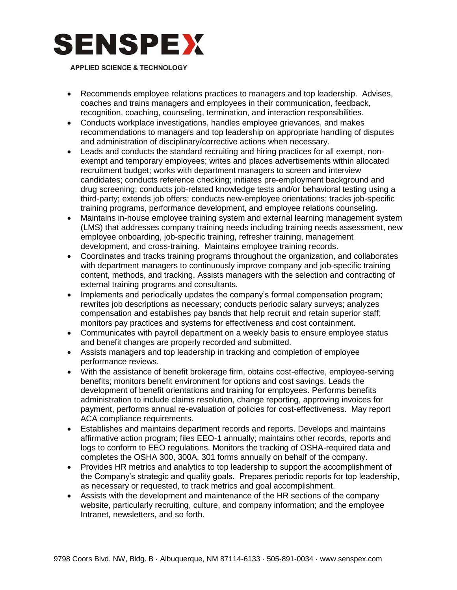

- Recommends employee relations practices to managers and top leadership. Advises, coaches and trains managers and employees in their communication, feedback, recognition, coaching, counseling, termination, and interaction responsibilities.
- Conducts workplace investigations, handles employee grievances, and makes recommendations to managers and top leadership on appropriate handling of disputes and administration of disciplinary/corrective actions when necessary.
- Leads and conducts the standard recruiting and hiring practices for all exempt, nonexempt and temporary employees; writes and places advertisements within allocated recruitment budget; works with department managers to screen and interview candidates; conducts reference checking; initiates pre-employment background and drug screening; conducts job-related knowledge tests and/or behavioral testing using a third-party; extends job offers; conducts new-employee orientations; tracks job-specific training programs, performance development, and employee relations counseling.
- Maintains in-house employee training system and external learning management system (LMS) that addresses company training needs including training needs assessment, new employee onboarding, job-specific training, refresher training, management development, and cross-training. Maintains employee training records.
- Coordinates and tracks training programs throughout the organization, and collaborates with department managers to continuously improve company and job-specific training content, methods, and tracking. Assists managers with the selection and contracting of external training programs and consultants.
- Implements and periodically updates the company's formal compensation program; rewrites job descriptions as necessary; conducts periodic salary surveys; analyzes compensation and establishes pay bands that help recruit and retain superior staff; monitors pay practices and systems for effectiveness and cost containment.
- Communicates with payroll department on a weekly basis to ensure employee status and benefit changes are properly recorded and submitted.
- Assists managers and top leadership in tracking and completion of employee performance reviews.
- With the assistance of benefit brokerage firm, obtains cost-effective, employee-serving benefits; monitors benefit environment for options and cost savings. Leads the development of benefit orientations and training for employees. Performs benefits administration to include claims resolution, change reporting, approving invoices for payment, performs annual re-evaluation of policies for cost-effectiveness. May report ACA compliance requirements.
- Establishes and maintains department records and reports. Develops and maintains affirmative action program; files EEO-1 annually; maintains other records, reports and logs to conform to EEO regulations. Monitors the tracking of OSHA-required data and completes the OSHA 300, 300A, 301 forms annually on behalf of the company.
- Provides HR metrics and analytics to top leadership to support the accomplishment of the Company's strategic and quality goals. Prepares periodic reports for top leadership, as necessary or requested, to track metrics and goal accomplishment.
- Assists with the development and maintenance of the HR sections of the company website, particularly recruiting, culture, and company information; and the employee Intranet, newsletters, and so forth.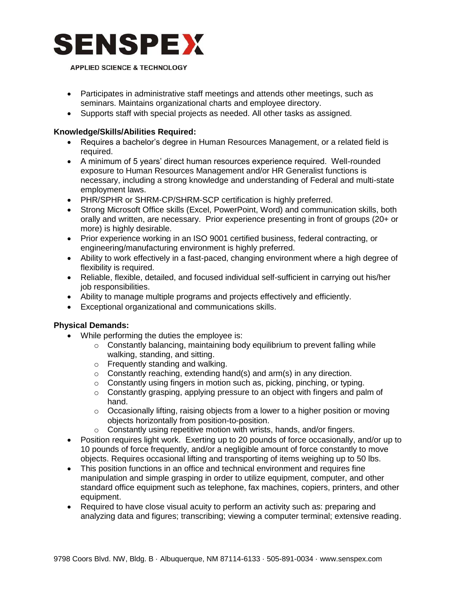

- Participates in administrative staff meetings and attends other meetings, such as seminars. Maintains organizational charts and employee directory.
- Supports staff with special projects as needed. All other tasks as assigned.

## **Knowledge/Skills/Abilities Required:**

- Requires a bachelor's degree in Human Resources Management, or a related field is required.
- A minimum of 5 years' direct human resources experience required. Well-rounded exposure to Human Resources Management and/or HR Generalist functions is necessary, including a strong knowledge and understanding of Federal and multi-state employment laws.
- PHR/SPHR or SHRM-CP/SHRM-SCP certification is highly preferred.
- Strong Microsoft Office skills (Excel, PowerPoint, Word) and communication skills, both orally and written, are necessary. Prior experience presenting in front of groups (20+ or more) is highly desirable.
- Prior experience working in an ISO 9001 certified business, federal contracting, or engineering/manufacturing environment is highly preferred.
- Ability to work effectively in a fast-paced, changing environment where a high degree of flexibility is required.
- Reliable, flexible, detailed, and focused individual self-sufficient in carrying out his/her job responsibilities.
- Ability to manage multiple programs and projects effectively and efficiently.
- Exceptional organizational and communications skills.

# **Physical Demands:**

- While performing the duties the employee is:
	- o Constantly balancing, maintaining body equilibrium to prevent falling while walking, standing, and sitting.
	- o Frequently standing and walking.
	- $\circ$  Constantly reaching, extending hand(s) and arm(s) in any direction.
	- o Constantly using fingers in motion such as, picking, pinching, or typing.
	- $\circ$  Constantly grasping, applying pressure to an object with fingers and palm of hand.
	- $\circ$  Occasionally lifting, raising objects from a lower to a higher position or moving objects horizontally from position-to-position.
	- o Constantly using repetitive motion with wrists, hands, and/or fingers.
- Position requires light work. Exerting up to 20 pounds of force occasionally, and/or up to 10 pounds of force frequently, and/or a negligible amount of force constantly to move objects. Requires occasional lifting and transporting of items weighing up to 50 lbs.
- This position functions in an office and technical environment and requires fine manipulation and simple grasping in order to utilize equipment, computer, and other standard office equipment such as telephone, fax machines, copiers, printers, and other equipment.
- Required to have close visual acuity to perform an activity such as: preparing and analyzing data and figures; transcribing; viewing a computer terminal; extensive reading.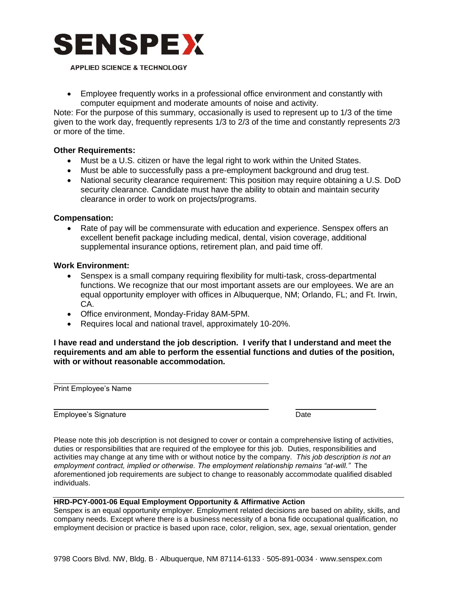

 Employee frequently works in a professional office environment and constantly with computer equipment and moderate amounts of noise and activity.

Note: For the purpose of this summary, occasionally is used to represent up to 1/3 of the time given to the work day, frequently represents 1/3 to 2/3 of the time and constantly represents 2/3 or more of the time.

#### **Other Requirements:**

- Must be a U.S. citizen or have the legal right to work within the United States.
- Must be able to successfully pass a pre-employment background and drug test.
- National security clearance requirement: This position may require obtaining a U.S. DoD security clearance. Candidate must have the ability to obtain and maintain security clearance in order to work on projects/programs.

### **Compensation:**

 Rate of pay will be commensurate with education and experience. Senspex offers an excellent benefit package including medical, dental, vision coverage, additional supplemental insurance options, retirement plan, and paid time off.

#### **Work Environment:**

- Senspex is a small company requiring flexibility for multi-task, cross-departmental functions. We recognize that our most important assets are our employees. We are an equal opportunity employer with offices in Albuquerque, NM; Orlando, FL; and Ft. Irwin, CA.
- Office environment, Monday-Friday 8AM-5PM.
- Requires local and national travel, approximately 10-20%.

**I have read and understand the job description. I verify that I understand and meet the requirements and am able to perform the essential functions and duties of the position, with or without reasonable accommodation.** 

Print Employee's Name

Employee's Signature Date

Please note this job description is not designed to cover or contain a comprehensive listing of activities, duties or responsibilities that are required of the employee for this job. Duties, responsibilities and activities may change at any time with or without notice by the company. *This job description is not an employment contract, implied or otherwise. The employment relationship remains "at-will."* The aforementioned job requirements are subject to change to reasonably accommodate qualified disabled individuals.

#### **HRD-PCY-0001-06 Equal Employment Opportunity & Affirmative Action**

Senspex is an equal opportunity employer. Employment related decisions are based on ability, skills, and company needs. Except where there is a business necessity of a bona fide occupational qualification, no employment decision or practice is based upon race, color, religion, sex, age, sexual orientation, gender